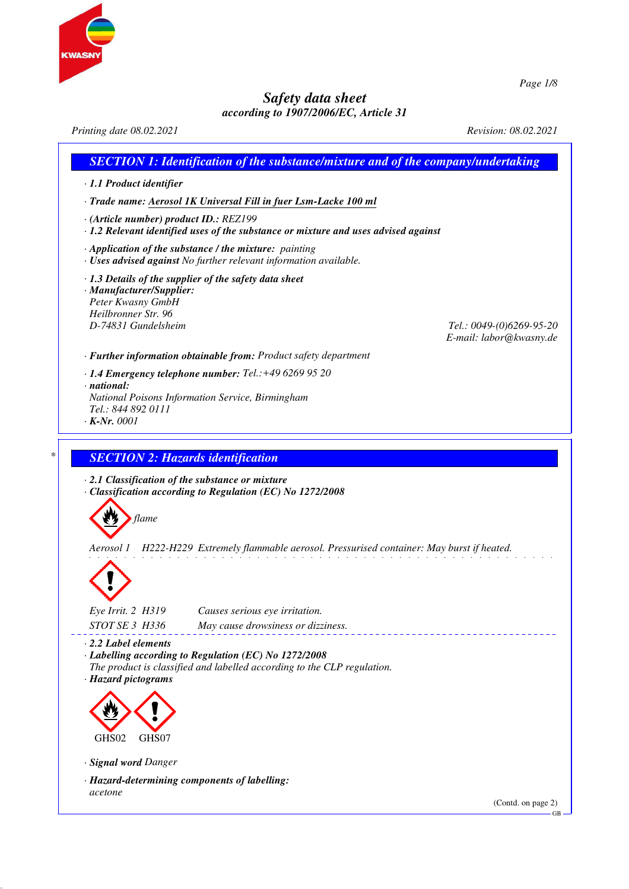

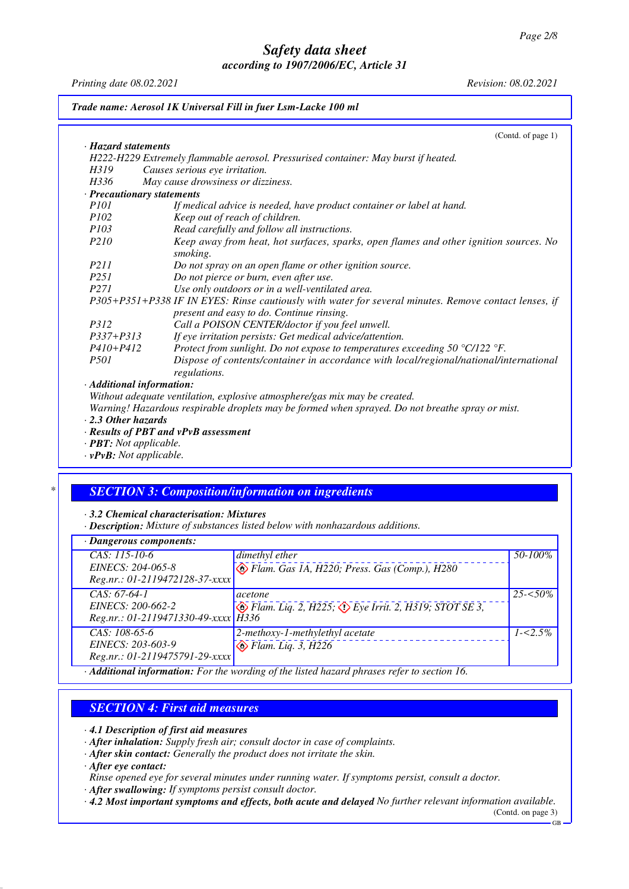*Printing date 08.02.2021 Revision: 08.02.2021*

*Trade name: Aerosol 1K Universal Fill in fuer Lsm-Lacke 100 ml*

|                                      | (Contd. of page 1)                                                                                                                                 |
|--------------------------------------|----------------------------------------------------------------------------------------------------------------------------------------------------|
| · Hazard statements                  |                                                                                                                                                    |
|                                      | H222-H229 Extremely flammable aerosol. Pressurised container: May burst if heated.                                                                 |
| H319                                 | Causes serious eye irritation.                                                                                                                     |
| H336                                 | May cause drowsiness or dizziness.                                                                                                                 |
| · Precautionary statements           |                                                                                                                                                    |
| <i>P101</i>                          | If medical advice is needed, have product container or label at hand.                                                                              |
| <i>P102</i>                          | Keep out of reach of children.                                                                                                                     |
| P103                                 | Read carefully and follow all instructions.                                                                                                        |
| P210                                 | Keep away from heat, hot surfaces, sparks, open flames and other ignition sources. No<br>smoking.                                                  |
| <i>P211</i>                          | Do not spray on an open flame or other ignition source.                                                                                            |
| P251                                 | Do not pierce or burn, even after use.                                                                                                             |
| P <sub>271</sub>                     | Use only outdoors or in a well-ventilated area.                                                                                                    |
|                                      | P305+P351+P338 IF IN EYES: Rinse cautiously with water for several minutes. Remove contact lenses, if<br>present and easy to do. Continue rinsing. |
| P312                                 | Call a POISON CENTER/doctor if you feel unwell.                                                                                                    |
| $P337 + P313$                        | If eye irritation persists: Get medical advice/attention.                                                                                          |
| $P410+P412$                          | Protect from sunlight. Do not expose to temperatures exceeding 50 $^{\circ}$ C/122 $^{\circ}$ F.                                                   |
| <i>P501</i>                          | Dispose of contents/container in accordance with local/regional/national/international<br>regulations.                                             |
| · Additional information:            |                                                                                                                                                    |
|                                      | Without adequate ventilation, explosive atmosphere/gas mix may be created.                                                                         |
|                                      | Warning! Hazardous respirable droplets may be formed when sprayed. Do not breathe spray or mist.                                                   |
| $\cdot$ 2.3 Other hazards            |                                                                                                                                                    |
|                                      | · Results of PBT and vPvB assessment                                                                                                               |
| $\cdot$ <b>PBT</b> : Not applicable. |                                                                                                                                                    |

*· vPvB: Not applicable.*

## *\* SECTION 3: Composition/information on ingredients*

*· 3.2 Chemical characterisation: Mixtures*

*· Description: Mixture of substances listed below with nonhazardous additions.*

| · Dangerous components:                                                    |                                                                                                                                                                                                                                                                                                                                                |             |  |  |
|----------------------------------------------------------------------------|------------------------------------------------------------------------------------------------------------------------------------------------------------------------------------------------------------------------------------------------------------------------------------------------------------------------------------------------|-------------|--|--|
| $CAS: 115-10-6$<br>EINECS: 204-065-8<br>Reg.nr.: 01-2119472128-37-xxxx     | dimethyl ether<br>Flam. Gas 1A, H220; Press. Gas (Comp.), H280                                                                                                                                                                                                                                                                                 | 50-100%     |  |  |
| $CAS: 67-64-1$<br>EINECS: 200-662-2<br>Reg.nr.: 01-2119471330-49-xxxx H336 | acetone<br>$\leftrightarrow$ Flam. Liq. 2, H225; $\leftrightarrow$ Eye Irrit. 2, H319; STOT SE 3,                                                                                                                                                                                                                                              | $25 - 50\%$ |  |  |
| $CAS: 108-65-6$<br>EINECS: 203-603-9<br>Reg.nr.: 01-2119475791-29-xxxx     | 2-methoxy-1-methylethyl acetate<br>$\bigotimes$ Flam. Liq. 3, H226                                                                                                                                                                                                                                                                             | $1 - 5\%$   |  |  |
|                                                                            | $\Lambda$ JPC and $f_1, f_2, \ldots, f_{n-1}, f_{n-1}, f_{n-1}, \ldots, f_{n-1}, f_{n-1}, f_{n-1}, f_{n-1}, f_{n-1}, f_{n-1}, \ldots, f_{n-1}, f_{n-1}, f_{n-1}, f_{n-1}, f_{n-1}, f_{n-1}, f_{n-1}, f_{n-1}, f_{n-1}, f_{n-1}, f_{n-1}, f_{n-1}, f_{n-1}, f_{n-1}, f_{n-1}, f_{n-1}, f_{n-1}, f_{n-1}, f_{n-1}, f_{n-1}, f_{n-1}, f_{n-1}, f$ |             |  |  |

*· Additional information: For the wording of the listed hazard phrases refer to section 16.*

## *SECTION 4: First aid measures*

*· 4.1 Description of first aid measures*

*· After inhalation: Supply fresh air; consult doctor in case of complaints.*

*· After skin contact: Generally the product does not irritate the skin.*

*· After eye contact:*

*Rinse opened eye for several minutes under running water. If symptoms persist, consult a doctor.*

*· After swallowing: If symptoms persist consult doctor.*

*· 4.2 Most important symptoms and effects, both acute and delayed No further relevant information available.*

(Contd. on page 3) GB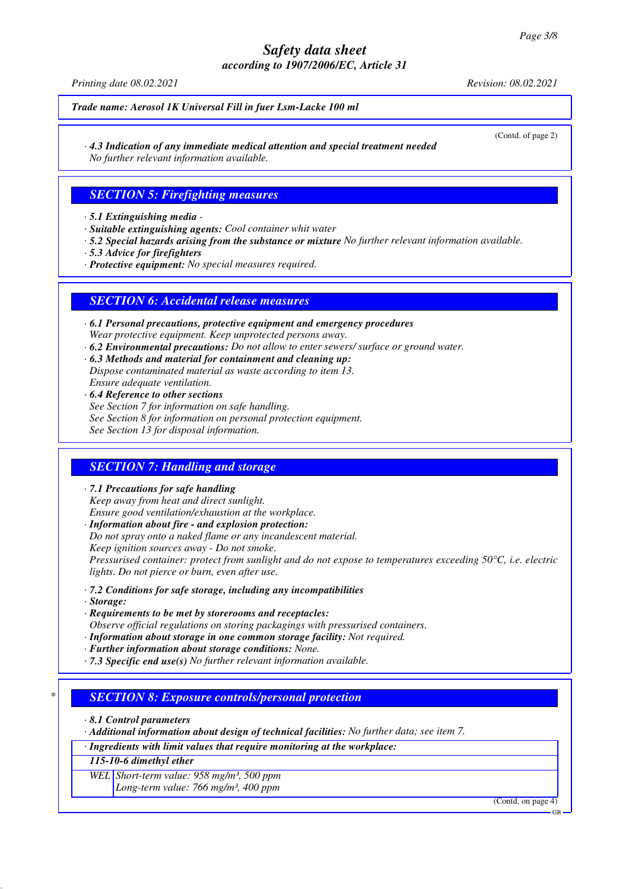*Printing date 08.02.2021 Revision: 08.02.2021*

*Trade name: Aerosol 1K Universal Fill in fuer Lsm-Lacke 100 ml*

(Contd. of page 2)

*· 4.3 Indication of any immediate medical attention and special treatment needed No further relevant information available.*

## *SECTION 5: Firefighting measures*

*· 5.1 Extinguishing media -* 

- *· Suitable extinguishing agents: Cool container whit water*
- *· 5.2 Special hazards arising from the substance or mixture No further relevant information available.*
- *· 5.3 Advice for firefighters*
- *· Protective equipment: No special measures required.*

## *SECTION 6: Accidental release measures*

- *· 6.1 Personal precautions, protective equipment and emergency procedures Wear protective equipment. Keep unprotected persons away.*
- *· 6.2 Environmental precautions: Do not allow to enter sewers/ surface or ground water.*
- *· 6.3 Methods and material for containment and cleaning up: Dispose contaminated material as waste according to item 13. Ensure adequate ventilation.*
- *· 6.4 Reference to other sections See Section 7 for information on safe handling. See Section 8 for information on personal protection equipment. See Section 13 for disposal information.*

## *SECTION 7: Handling and storage*

- *· 7.1 Precautions for safe handling Keep away from heat and direct sunlight. Ensure good ventilation/exhaustion at the workplace.*
- *· Information about fire and explosion protection: Do not spray onto a naked flame or any incandescent material. Keep ignition sources away - Do not smoke. Pressurised container: protect from sunlight and do not expose to temperatures exceeding 50°C, i.e. electric lights. Do not pierce or burn, even after use.*
- *· 7.2 Conditions for safe storage, including any incompatibilities*
- *· Storage:*
- *· Requirements to be met by storerooms and receptacles:*
- *Observe official regulations on storing packagings with pressurised containers.*
- *· Information about storage in one common storage facility: Not required.*
- *· Further information about storage conditions: None.*
- *· 7.3 Specific end use(s) No further relevant information available.*

## *\* SECTION 8: Exposure controls/personal protection*

*· 8.1 Control parameters*

*· Additional information about design of technical facilities: No further data; see item 7.*

*· Ingredients with limit values that require monitoring at the workplace:*

*115-10-6 dimethyl ether*

*WEL Short-term value: 958 mg/m³, 500 ppm Long-term value: 766 mg/m³, 400 ppm*

(Contd. on page 4)

GB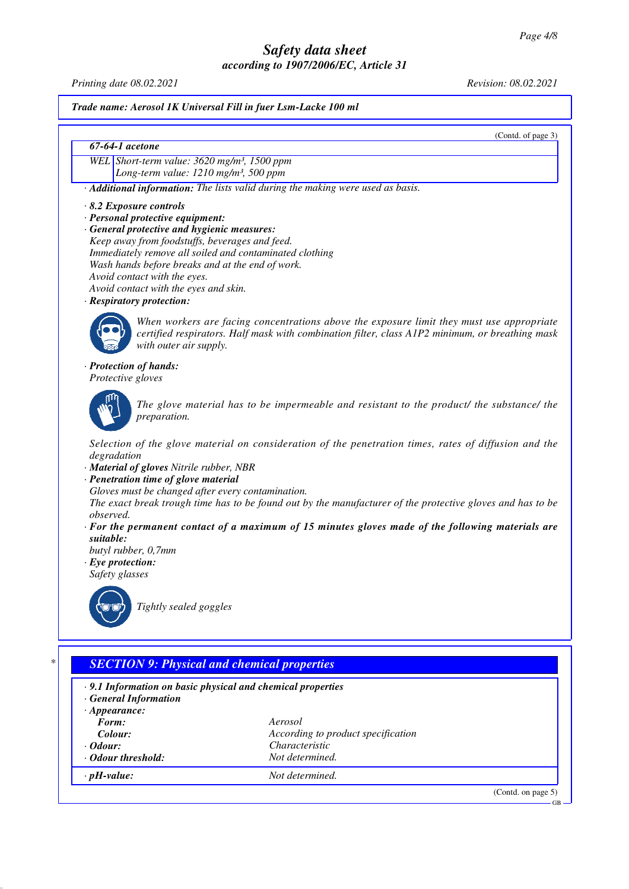*Printing date 08.02.2021 Revision: 08.02.2021*

*Trade name: Aerosol 1K Universal Fill in fuer Lsm-Lacke 100 ml*

(Contd. of page 3)

### *67-64-1 acetone*

*WEL Short-term value: 3620 mg/m³, 1500 ppm Long-term value: 1210 mg/m³, 500 ppm*

*· Additional information: The lists valid during the making were used as basis.*

- *· 8.2 Exposure controls*
- *· Personal protective equipment:*
- *· General protective and hygienic measures: Keep away from foodstuffs, beverages and feed. Immediately remove all soiled and contaminated clothing*
- *Wash hands before breaks and at the end of work.*
- *Avoid contact with the eyes.*
- *Avoid contact with the eyes and skin.*
- *· Respiratory protection:*



*When workers are facing concentrations above the exposure limit they must use appropriate certified respirators. Half mask with combination filter, class A1P2 minimum, or breathing mask with outer air supply.*

#### *· Protection of hands:*

*Protective gloves*



*The glove material has to be impermeable and resistant to the product/ the substance/ the preparation.*

*Selection of the glove material on consideration of the penetration times, rates of diffusion and the degradation*

- *· Material of gloves Nitrile rubber, NBR*
- *· Penetration time of glove material*

*Gloves must be changed after every contamination.*

*The exact break trough time has to be found out by the manufacturer of the protective gloves and has to be observed.*

- *· For the permanent contact of a maximum of 15 minutes gloves made of the following materials are suitable:*
- *butyl rubber, 0,7mm*

*· Eye protection: Safety glasses*



*Tightly sealed goggles*

## *\* SECTION 9: Physical and chemical properties*

- *· 9.1 Information on basic physical and chemical properties*
- *· General Information*
- *· Appearance:*
- *Form: Aerosol Colour: According to product specification · Odour: Characteristic · Odour threshold: Not determined.*
	-
- *· pH-value: Not determined.*

(Contd. on page 5)

GB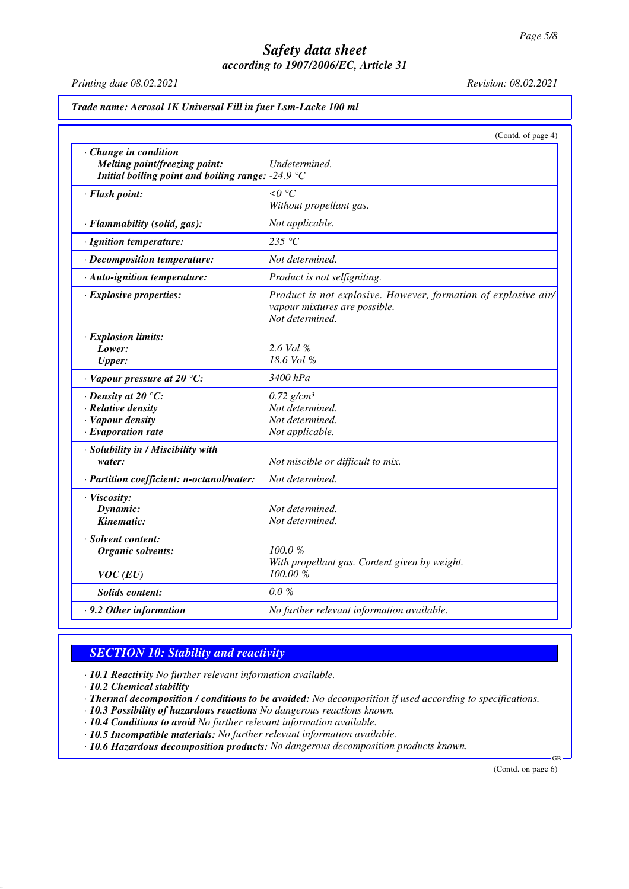*Printing date 08.02.2021 Revision: 08.02.2021*

|                                                                                                                              | (Contd. of page 4)                                                                                                 |
|------------------------------------------------------------------------------------------------------------------------------|--------------------------------------------------------------------------------------------------------------------|
| · Change in condition<br><b>Melting point/freezing point:</b><br>Initial boiling point and boiling range: -24.9 $\mathrm{C}$ | Undetermined.                                                                                                      |
| · Flash point:                                                                                                               | $\leq 0$ °C<br>Without propellant gas.                                                                             |
| · Flammability (solid, gas):                                                                                                 | Not applicable.                                                                                                    |
| · Ignition temperature:                                                                                                      | 235 °C                                                                                                             |
| $\cdot$ Decomposition temperature:                                                                                           | Not determined.                                                                                                    |
| · Auto-ignition temperature:                                                                                                 | Product is not selfigniting.                                                                                       |
| · Explosive properties:                                                                                                      | Product is not explosive. However, formation of explosive air/<br>vapour mixtures are possible.<br>Not determined. |
| · Explosion limits:<br>Lower:<br><b>Upper:</b>                                                                               | 2.6 Vol %<br>$18.6$ Vol %                                                                                          |
| $\cdot$ Vapour pressure at 20 °C:                                                                                            | 3400 hPa                                                                                                           |
| $\cdot$ Density at 20 $\degree$ C:<br>· Relative density<br>· Vapour density<br>$\cdot$ Evaporation rate                     | $0.72$ g/cm <sup>3</sup><br>Not determined.<br>Not determined.<br>Not applicable.                                  |
| · Solubility in / Miscibility with<br>water:                                                                                 | Not miscible or difficult to mix.                                                                                  |
| · Partition coefficient: n-octanol/water:                                                                                    | Not determined.                                                                                                    |
| · Viscosity:<br>Dynamic:<br>Kinematic:                                                                                       | Not determined.<br>Not determined.                                                                                 |
| · Solvent content:<br>Organic solvents:<br>$VOC$ (EU)                                                                        | 100.0%<br>With propellant gas. Content given by weight.<br>100.00 %                                                |
| Solids content:                                                                                                              | $0.0\%$                                                                                                            |
|                                                                                                                              |                                                                                                                    |

## *SECTION 10: Stability and reactivity*

*· 10.1 Reactivity No further relevant information available.*

*· 10.2 Chemical stability*

*· Thermal decomposition / conditions to be avoided: No decomposition if used according to specifications.*

*· 10.3 Possibility of hazardous reactions No dangerous reactions known.*

*· 10.4 Conditions to avoid No further relevant information available.*

*· 10.5 Incompatible materials: No further relevant information available.*

*· 10.6 Hazardous decomposition products: No dangerous decomposition products known.*

(Contd. on page 6)

GB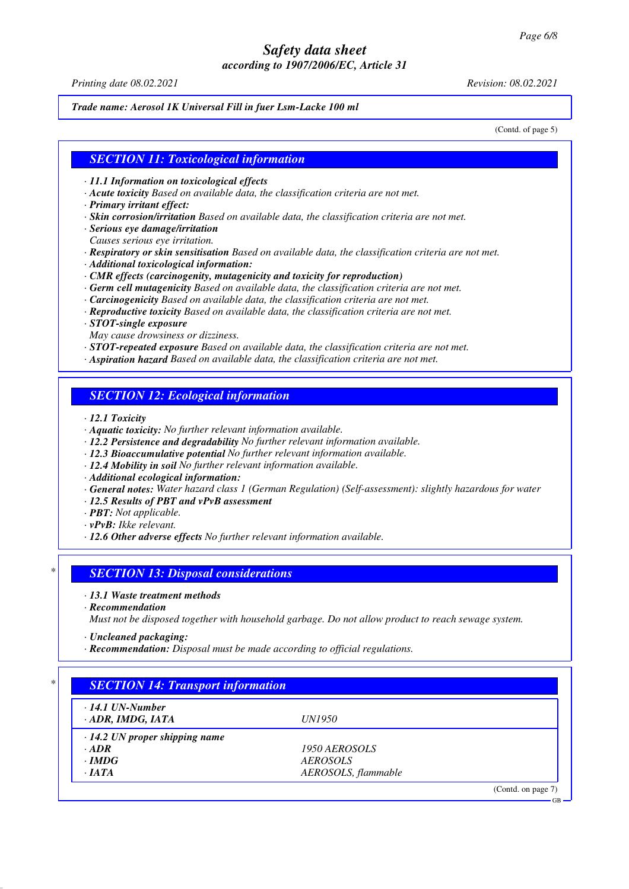#### *Trade name: Aerosol 1K Universal Fill in fuer Lsm-Lacke 100 ml*

(Contd. of page 5)

## *SECTION 11: Toxicological information*

- *· 11.1 Information on toxicological effects*
- *· Acute toxicity Based on available data, the classification criteria are not met.*
- *· Primary irritant effect:*
- *· Skin corrosion/irritation Based on available data, the classification criteria are not met.*
- *· Serious eye damage/irritation*
- *Causes serious eye irritation.*
- *· Respiratory or skin sensitisation Based on available data, the classification criteria are not met.*
- *· Additional toxicological information:*
- *· CMR effects (carcinogenity, mutagenicity and toxicity for reproduction)*
- *· Germ cell mutagenicity Based on available data, the classification criteria are not met.*
- *· Carcinogenicity Based on available data, the classification criteria are not met.*
- *· Reproductive toxicity Based on available data, the classification criteria are not met.*
- *· STOT-single exposure*
- *May cause drowsiness or dizziness.*
- *· STOT-repeated exposure Based on available data, the classification criteria are not met.*
- *· Aspiration hazard Based on available data, the classification criteria are not met.*

## *SECTION 12: Ecological information*

- *· 12.1 Toxicity*
- *· Aquatic toxicity: No further relevant information available.*
- *· 12.2 Persistence and degradability No further relevant information available.*
- *· 12.3 Bioaccumulative potential No further relevant information available.*
- *· 12.4 Mobility in soil No further relevant information available.*
- *· Additional ecological information:*
- *· General notes: Water hazard class 1 (German Regulation) (Self-assessment): slightly hazardous for water*
- *· 12.5 Results of PBT and vPvB assessment*
- *· PBT: Not applicable.*
- *· vPvB: Ikke relevant.*
- *· 12.6 Other adverse effects No further relevant information available.*

## *\* SECTION 13: Disposal considerations*

- *· 13.1 Waste treatment methods*
- *· Recommendation*

*Must not be disposed together with household garbage. Do not allow product to reach sewage system.*

- *· Uncleaned packaging:*
- *· Recommendation: Disposal must be made according to official regulations.*

| $\cdot$ 14.1 UN-Number               |                     |  |
|--------------------------------------|---------------------|--|
| · ADR, IMDG, IATA                    | <i>UN1950</i>       |  |
| $\cdot$ 14.2 UN proper shipping name |                     |  |
| $\cdot$ ADR                          | 1950 AEROSOLS       |  |
| $\cdot$ IMDG                         | <b>AEROSOLS</b>     |  |
| $\cdot$ IATA                         | AEROSOLS, flammable |  |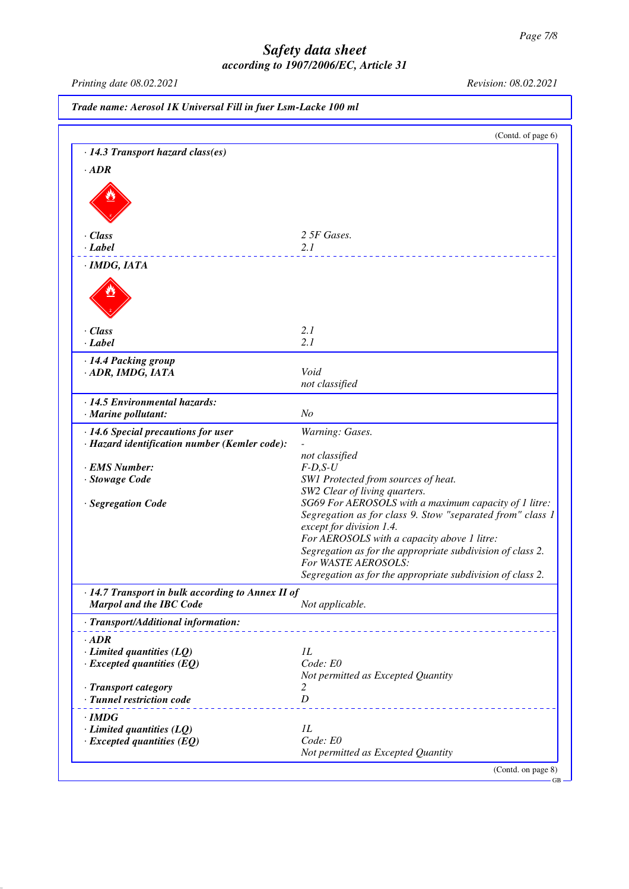*Printing date 08.02.2021 Revision: 08.02.2021*

|                                                                                                        | Trade name: Aerosol 1K Universal Fill in fuer Lsm-Lacke 100 ml                                                                                                                                                                                                                                                                                                                                                                                           |  |
|--------------------------------------------------------------------------------------------------------|----------------------------------------------------------------------------------------------------------------------------------------------------------------------------------------------------------------------------------------------------------------------------------------------------------------------------------------------------------------------------------------------------------------------------------------------------------|--|
|                                                                                                        | (Contd. of page 6)                                                                                                                                                                                                                                                                                                                                                                                                                                       |  |
| · 14.3 Transport hazard class(es)                                                                      |                                                                                                                                                                                                                                                                                                                                                                                                                                                          |  |
| $\cdot$ ADR                                                                                            |                                                                                                                                                                                                                                                                                                                                                                                                                                                          |  |
|                                                                                                        |                                                                                                                                                                                                                                                                                                                                                                                                                                                          |  |
| $\cdot$ Class                                                                                          | 2 5F Gases.                                                                                                                                                                                                                                                                                                                                                                                                                                              |  |
| $\cdot$ Label                                                                                          | 2.1                                                                                                                                                                                                                                                                                                                                                                                                                                                      |  |
| · IMDG, IATA                                                                                           |                                                                                                                                                                                                                                                                                                                                                                                                                                                          |  |
|                                                                                                        |                                                                                                                                                                                                                                                                                                                                                                                                                                                          |  |
| $\cdot$ Class                                                                                          | 2.1                                                                                                                                                                                                                                                                                                                                                                                                                                                      |  |
| $\cdot$ Label                                                                                          | 2.1                                                                                                                                                                                                                                                                                                                                                                                                                                                      |  |
| · 14.4 Packing group<br>· ADR, IMDG, IATA                                                              | Void<br>not classified                                                                                                                                                                                                                                                                                                                                                                                                                                   |  |
| · 14.5 Environmental hazards:<br>· Marine pollutant:                                                   | N <sub>O</sub>                                                                                                                                                                                                                                                                                                                                                                                                                                           |  |
| · 14.6 Special precautions for user                                                                    | Warning: Gases.                                                                                                                                                                                                                                                                                                                                                                                                                                          |  |
| · Hazard identification number (Kemler code):<br>· EMS Number:<br>· Stowage Code<br>· Segregation Code | not classified<br>$F-D, S-U$<br>SW1 Protected from sources of heat.<br>SW2 Clear of living quarters.<br>SG69 For AEROSOLS with a maximum capacity of 1 litre:<br>Segregation as for class 9. Stow "separated from" class 1<br>except for division 1.4.<br>For AEROSOLS with a capacity above 1 litre:<br>Segregation as for the appropriate subdivision of class 2.<br>For WASTE AEROSOLS:<br>Segregation as for the appropriate subdivision of class 2. |  |
| · 14.7 Transport in bulk according to Annex II of<br>Marpol and the IBC Code                           | Not applicable.                                                                                                                                                                                                                                                                                                                                                                                                                                          |  |
| · Transport/Additional information:                                                                    |                                                                                                                                                                                                                                                                                                                                                                                                                                                          |  |
| $\cdot$ ADR<br>$\cdot$ Limited quantities (LQ)<br>$\cdot$ Excepted quantities (EQ)                     | 1L<br>Code: E0<br>Not permitted as Excepted Quantity                                                                                                                                                                                                                                                                                                                                                                                                     |  |
| · Transport category<br>· Tunnel restriction code                                                      | 2<br>D                                                                                                                                                                                                                                                                                                                                                                                                                                                   |  |
| $\cdot$ IMDG<br>$\cdot$ Limited quantities (LQ)<br>$\cdot$ Excepted quantities (EQ)                    | IL<br>Code: E0<br>Not permitted as Excepted Quantity                                                                                                                                                                                                                                                                                                                                                                                                     |  |
|                                                                                                        | (Contd. on page 8)                                                                                                                                                                                                                                                                                                                                                                                                                                       |  |